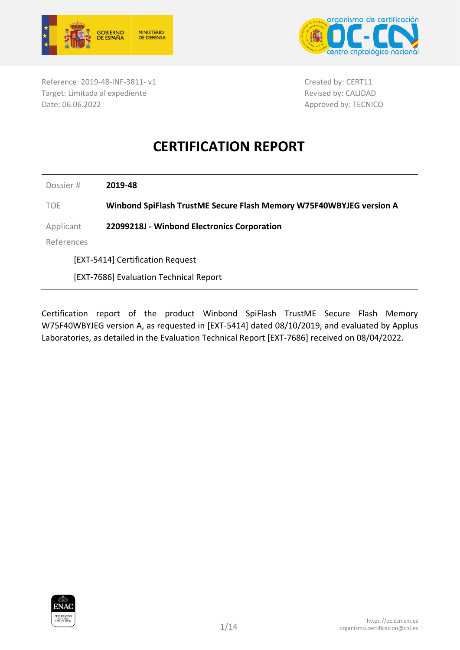



Reference: 2019-48-INF-3811- v1 Target: Limitada al expediente Date: 06.06.2022

Created by: CERT11 Revised by: CALIDAD Approved by: TECNICO

# **CERTIFICATION REPORT**

Dossier # **2019-48**

TOE **Winbond SpiFlash TrustME Secure Flash Memory W75F40WBYJEG version A**

Applicant **22099218J - Winbond Electronics Corporation**

References

[EXT-5414] Certification Request

[EXT-7686] Evaluation Technical Report

Certification report of the product Winbond SpiFlash TrustME Secure Flash Memory W75F40WBYJEG version A, as requested in [EXT-5414] dated 08/10/2019, and evaluated by Applus Laboratories, as detailed in the Evaluation Technical Report [EXT-7686] received on 08/04/2022.

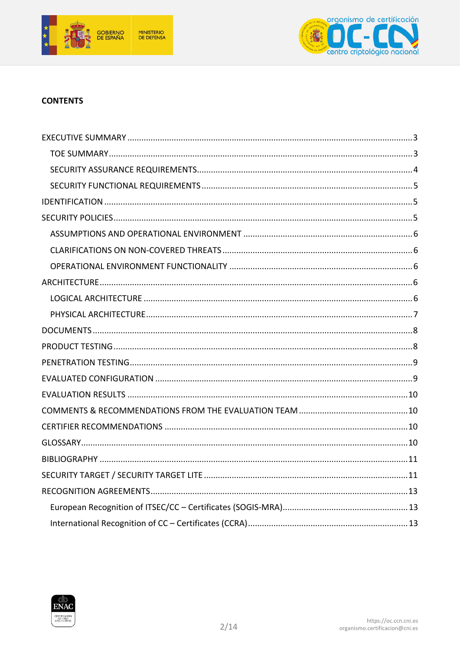



#### **CONTENTS**

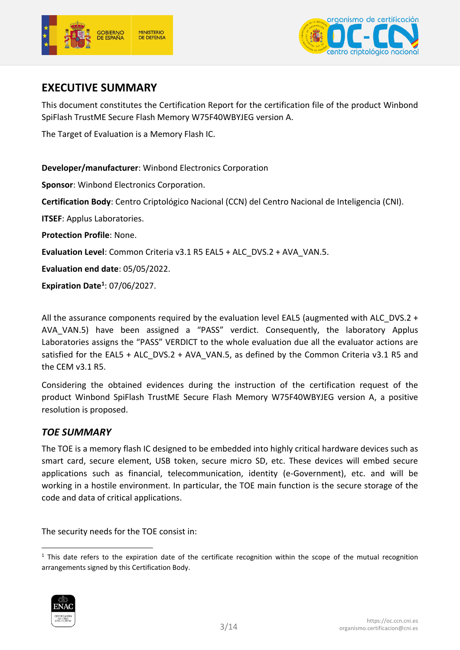



# <span id="page-2-0"></span>**EXECUTIVE SUMMARY**

This document constitutes the Certification Report for the certification file of the product Winbond SpiFlash TrustME Secure Flash Memory W75F40WBYJEG version A.

The Target of Evaluation is a Memory Flash IC.

**Developer/manufacturer**: Winbond Electronics Corporation

**Sponsor**: Winbond Electronics Corporation.

**Certification Body**: Centro Criptológico Nacional (CCN) del Centro Nacional de Inteligencia (CNI).

**ITSEF**: Applus Laboratories.

**Protection Profile**: None.

**Evaluation Level**: Common Criteria v3.1 R5 EAL5 + ALC\_DVS.2 + AVA\_VAN.5.

**Evaluation end date**: 05/05/2022.

**Expiration Date<sup>1</sup>** : 07/06/2027.

All the assurance components required by the evaluation level EAL5 (augmented with ALC\_DVS.2 + AVA\_VAN.5) have been assigned a "PASS" verdict. Consequently, the laboratory Applus Laboratories assigns the "PASS" VERDICT to the whole evaluation due all the evaluator actions are satisfied for the EAL5 + ALC\_DVS.2 + AVA\_VAN.5, as defined by the Common Criteria v3.1 R5 and the CEM v3.1 R5.

Considering the obtained evidences during the instruction of the certification request of the product Winbond SpiFlash TrustME Secure Flash Memory W75F40WBYJEG version A, a positive resolution is proposed.

#### <span id="page-2-1"></span>*TOE SUMMARY*

The TOE is a memory flash IC designed to be embedded into highly critical hardware devices such as smart card, secure element, USB token, secure micro SD, etc. These devices will embed secure applications such as financial, telecommunication, identity (e-Government), etc. and will be working in a hostile environment. In particular, the TOE main function is the secure storage of the code and data of critical applications.

The security needs for the TOE consist in:

<sup>-</sup> $1$  This date refers to the expiration date of the certificate recognition within the scope of the mutual recognition arrangements signed by this Certification Body.

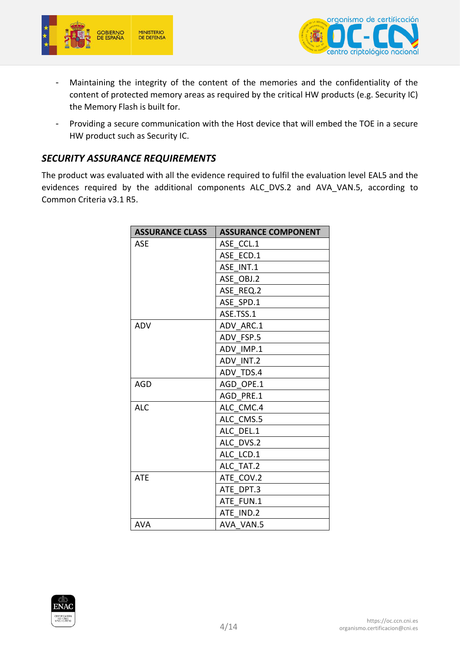



- Maintaining the integrity of the content of the memories and the confidentiality of the content of protected memory areas as required by the critical HW products (e.g. Security IC) the Memory Flash is built for.
- Providing a secure communication with the Host device that will embed the TOE in a secure HW product such as Security IC.

#### <span id="page-3-0"></span>*SECURITY ASSURANCE REQUIREMENTS*

The product was evaluated with all the evidence required to fulfil the evaluation level EAL5 and the evidences required by the additional components ALC\_DVS.2 and AVA\_VAN.5, according to Common Criteria v3.1 R5.

| <b>ASSURANCE CLASS</b> | <b>ASSURANCE COMPONENT</b> |
|------------------------|----------------------------|
| <b>ASE</b>             | ASE CCL.1                  |
|                        | ASE ECD.1                  |
|                        | ASE INT.1                  |
|                        | ASE OBJ.2                  |
|                        | ASE REQ.2                  |
|                        | ASE SPD.1                  |
|                        | ASE.TSS.1                  |
| <b>ADV</b>             | ADV ARC.1                  |
|                        | ADV FSP.5                  |
|                        | ADV IMP.1                  |
|                        | ADV INT.2                  |
|                        | ADV TDS.4                  |
| <b>AGD</b>             | AGD OPE.1                  |
|                        | AGD PRE.1                  |
| <b>ALC</b>             | ALC CMC.4                  |
|                        | ALC CMS.5                  |
|                        | ALC DEL.1                  |
|                        | ALC DVS.2                  |
|                        | ALC LCD.1                  |
|                        | ALC TAT.2                  |
| <b>ATE</b>             | ATE COV.2                  |
|                        | ATE DPT.3                  |
|                        | ATE FUN.1                  |
|                        | ATE IND.2                  |
| <b>AVA</b>             | AVA VAN.5                  |

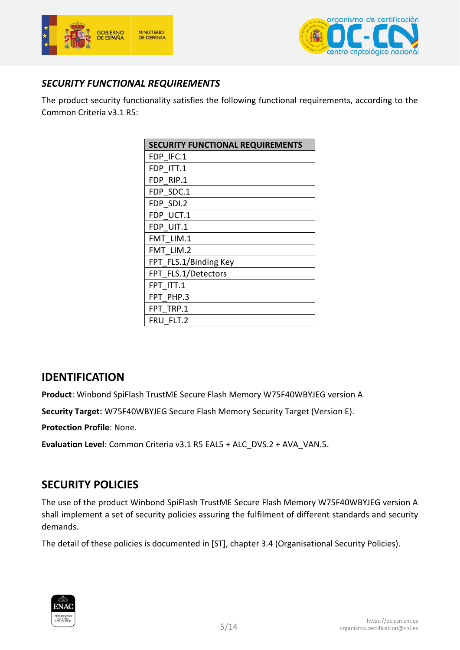



### <span id="page-4-0"></span>*SECURITY FUNCTIONAL REQUIREMENTS*

The product security functionality satisfies the following functional requirements, according to the Common Criteria v3.1 R5:

| <b>SECURITY FUNCTIONAL REQUIREMENTS</b> |
|-----------------------------------------|
| FDP IFC.1                               |
| FDP ITT.1                               |
| FDP RIP.1                               |
| FDP SDC.1                               |
| FDP SDI.2                               |
| FDP UCT.1                               |
| FDP UIT.1                               |
| FMT LIM.1                               |
| FMT LIM.2                               |
| FPT FLS.1/Binding Key                   |
| FPT FLS.1/Detectors                     |
| FPT ITT.1                               |
| FPT PHP.3                               |
| FPT TRP.1                               |
| FRU FLT.2                               |

## <span id="page-4-1"></span>**IDENTIFICATION**

**Product**: Winbond SpiFlash TrustME Secure Flash Memory W75F40WBYJEG version A

**Security Target:** W75F40WBYJEG Secure Flash Memory Security Target (Version E).

**Protection Profile**: None.

**Evaluation Level**: Common Criteria v3.1 R5 EAL5 + ALC\_DVS.2 + AVA\_VAN.5.

# <span id="page-4-2"></span>**SECURITY POLICIES**

The use of the product Winbond SpiFlash TrustME Secure Flash Memory W75F40WBYJEG version A shall implement a set of security policies assuring the fulfilment of different standards and security demands.

The detail of these policies is documented in [ST], chapter 3.4 (Organisational Security Policies).

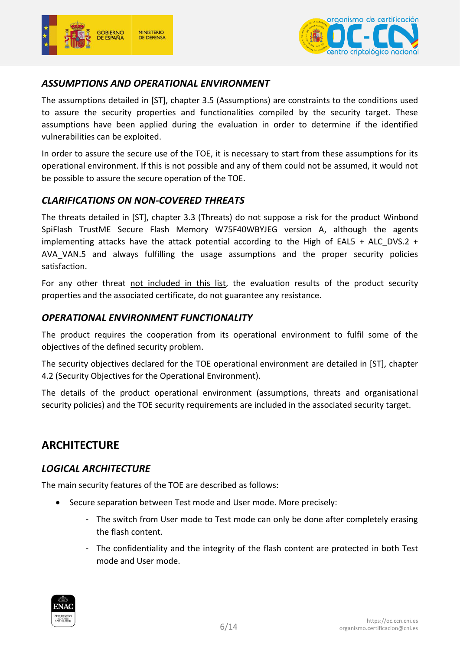



#### <span id="page-5-0"></span>*ASSUMPTIONS AND OPERATIONAL ENVIRONMENT*

The assumptions detailed in [ST], chapter 3.5 (Assumptions) are constraints to the conditions used to assure the security properties and functionalities compiled by the security target. These assumptions have been applied during the evaluation in order to determine if the identified vulnerabilities can be exploited.

In order to assure the secure use of the TOE, it is necessary to start from these assumptions for its operational environment. If this is not possible and any of them could not be assumed, it would not be possible to assure the secure operation of the TOE.

#### <span id="page-5-1"></span>*CLARIFICATIONS ON NON-COVERED THREATS*

The threats detailed in [ST], chapter 3.3 (Threats) do not suppose a risk for the product Winbond SpiFlash TrustME Secure Flash Memory W75F40WBYJEG version A, although the agents implementing attacks have the attack potential according to the High of EAL5 + ALC DVS.2 + AVA\_VAN.5 and always fulfilling the usage assumptions and the proper security policies satisfaction.

For any other threat not included in this list, the evaluation results of the product security properties and the associated certificate, do not guarantee any resistance.

#### <span id="page-5-2"></span>*OPERATIONAL ENVIRONMENT FUNCTIONALITY*

The product requires the cooperation from its operational environment to fulfil some of the objectives of the defined security problem.

The security objectives declared for the TOE operational environment are detailed in [ST], chapter 4.2 (Security Objectives for the Operational Environment).

The details of the product operational environment (assumptions, threats and organisational security policies) and the TOE security requirements are included in the associated security target.

## <span id="page-5-3"></span>**ARCHITECTURE**

#### <span id="page-5-4"></span>*LOGICAL ARCHITECTURE*

The main security features of the TOE are described as follows:

- Secure separation between Test mode and User mode. More precisely:
	- The switch from User mode to Test mode can only be done after completely erasing the flash content.
	- The confidentiality and the integrity of the flash content are protected in both Test mode and User mode.

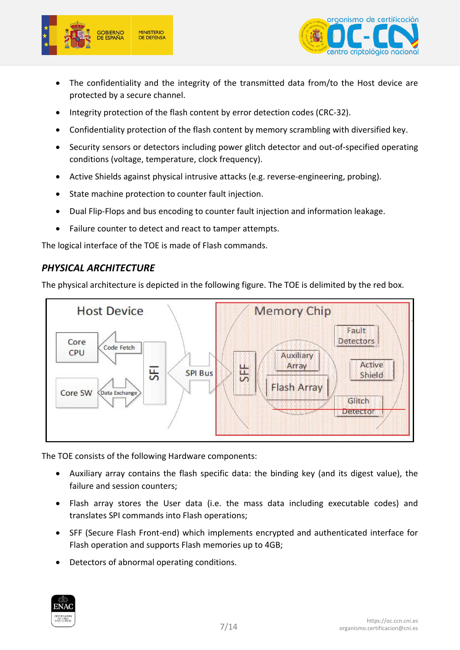



- The confidentiality and the integrity of the transmitted data from/to the Host device are protected by a secure channel.
- Integrity protection of the flash content by error detection codes (CRC-32).
- Confidentiality protection of the flash content by memory scrambling with diversified key.
- Security sensors or detectors including power glitch detector and out-of-specified operating conditions (voltage, temperature, clock frequency).
- Active Shields against physical intrusive attacks (e.g. reverse-engineering, probing).
- State machine protection to counter fault injection.
- Dual Flip-Flops and bus encoding to counter fault injection and information leakage.
- Failure counter to detect and react to tamper attempts.

The logical interface of the TOE is made of Flash commands.

#### <span id="page-6-0"></span>*PHYSICAL ARCHITECTURE*

The physical architecture is depicted in the following figure. The TOE is delimited by the red box.



The TOE consists of the following Hardware components:

- Auxiliary array contains the flash specific data: the binding key (and its digest value), the failure and session counters;
- Flash array stores the User data (i.e. the mass data including executable codes) and translates SPI commands into Flash operations;
- SFF (Secure Flash Front-end) which implements encrypted and authenticated interface for Flash operation and supports Flash memories up to 4GB;
- Detectors of abnormal operating conditions.

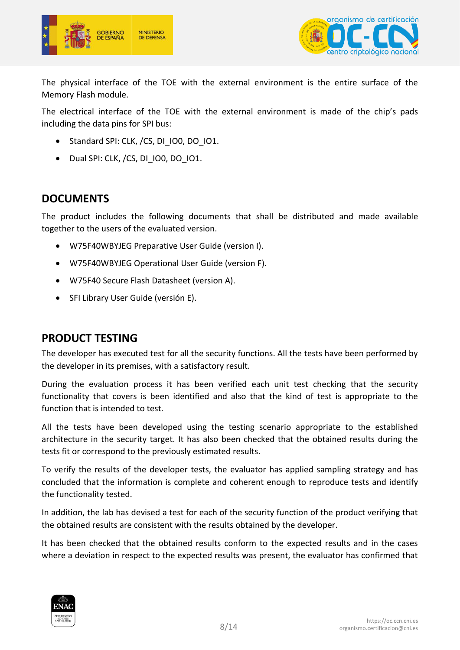



The physical interface of the TOE with the external environment is the entire surface of the Memory Flash module.

The electrical interface of the TOE with the external environment is made of the chip's pads including the data pins for SPI bus:

- Standard SPI: CLK, /CS, DI\_IO0, DO\_IO1.
- Dual SPI: CLK, /CS, DI IO0, DO IO1.

### <span id="page-7-0"></span>**DOCUMENTS**

The product includes the following documents that shall be distributed and made available together to the users of the evaluated version.

- W75F40WBYJEG Preparative User Guide (version I).
- W75F40WBYJEG Operational User Guide (version F).
- W75F40 Secure Flash Datasheet (version A).
- SFI Library User Guide (versión E).

#### <span id="page-7-1"></span>**PRODUCT TESTING**

The developer has executed test for all the security functions. All the tests have been performed by the developer in its premises, with a satisfactory result.

During the evaluation process it has been verified each unit test checking that the security functionality that covers is been identified and also that the kind of test is appropriate to the function that is intended to test.

All the tests have been developed using the testing scenario appropriate to the established architecture in the security target. It has also been checked that the obtained results during the tests fit or correspond to the previously estimated results.

To verify the results of the developer tests, the evaluator has applied sampling strategy and has concluded that the information is complete and coherent enough to reproduce tests and identify the functionality tested.

In addition, the lab has devised a test for each of the security function of the product verifying that the obtained results are consistent with the results obtained by the developer.

It has been checked that the obtained results conform to the expected results and in the cases where a deviation in respect to the expected results was present, the evaluator has confirmed that

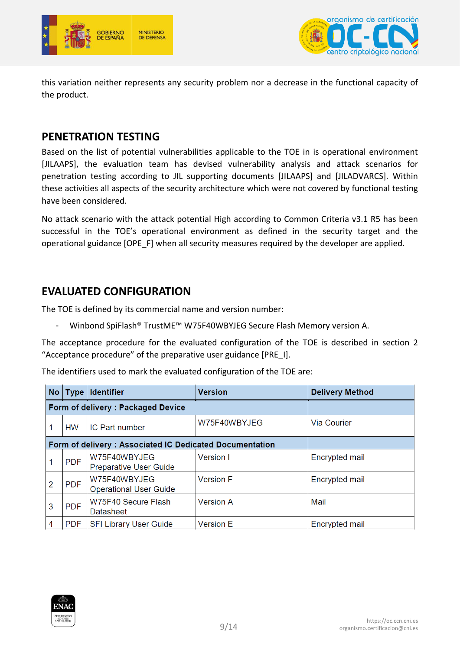



this variation neither represents any security problem nor a decrease in the functional capacity of the product.

## <span id="page-8-0"></span>**PENETRATION TESTING**

Based on the list of potential vulnerabilities applicable to the TOE in is operational environment [JILAAPS], the evaluation team has devised vulnerability analysis and attack scenarios for penetration testing according to JIL supporting documents [JILAAPS] and [JILADVARCS]. Within these activities all aspects of the security architecture which were not covered by functional testing have been considered.

No attack scenario with the attack potential High according to Common Criteria v3.1 R5 has been successful in the TOE's operational environment as defined in the security target and the operational guidance [OPE\_F] when all security measures required by the developer are applied.

# <span id="page-8-1"></span>**EVALUATED CONFIGURATION**

The TOE is defined by its commercial name and version number:

Winbond SpiFlash® TrustME™ W75F40WBYJEG Secure Flash Memory version A.

The acceptance procedure for the evaluated configuration of the TOE is described in section 2 "Acceptance procedure" of the preparative user guidance [PRE\_I].

The identifiers used to mark the evaluated configuration of the TOE are:

|                                   | No   Type  | <b>Identifier</b>                                       | <b>Version</b>   | <b>Delivery Method</b> |
|-----------------------------------|------------|---------------------------------------------------------|------------------|------------------------|
| Form of delivery: Packaged Device |            |                                                         |                  |                        |
|                                   | <b>HW</b>  | IC Part number                                          | W75F40WBYJEG     | Via Courier            |
|                                   |            | Form of delivery: Associated IC Dedicated Documentation |                  |                        |
|                                   | <b>PDF</b> | W75F40WBYJEG<br><b>Preparative User Guide</b>           | Version I        | Encrypted mail         |
| 2                                 | <b>PDF</b> | W75F40WBYJEG<br><b>Operational User Guide</b>           | <b>Version F</b> | Encrypted mail         |
| 3                                 | <b>PDF</b> | W75F40 Secure Flash<br><b>Datasheet</b>                 | <b>Version A</b> | Mail                   |
| 4                                 | <b>PDF</b> | <b>SFI Library User Guide</b>                           | <b>Version E</b> | Encrypted mail         |

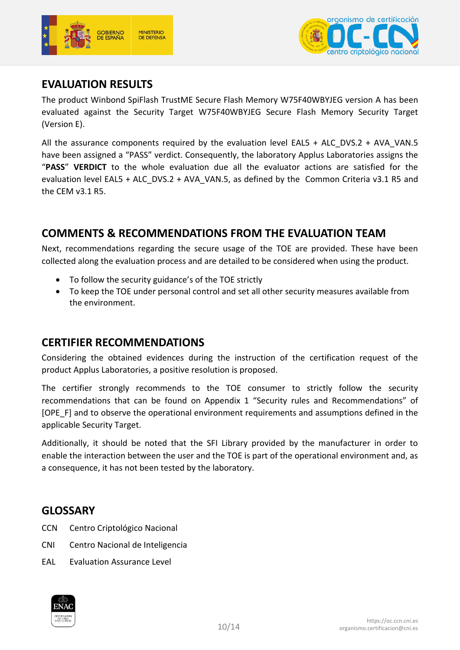



# <span id="page-9-0"></span>**EVALUATION RESULTS**

The product Winbond SpiFlash TrustME Secure Flash Memory W75F40WBYJEG version A has been evaluated against the Security Target W75F40WBYJEG Secure Flash Memory Security Target (Version E).

All the assurance components required by the evaluation level EAL5 + ALC DVS.2 + AVA VAN.5 have been assigned a "PASS" verdict. Consequently, the laboratory Applus Laboratories assigns the "**PASS**" **VERDICT** to the whole evaluation due all the evaluator actions are satisfied for the evaluation level EAL5 + ALC\_DVS.2 + AVA\_VAN.5, as defined by the Common Criteria v3.1 R5 and the CEM v3.1 R5.

## <span id="page-9-1"></span>**COMMENTS & RECOMMENDATIONS FROM THE EVALUATION TEAM**

Next, recommendations regarding the secure usage of the TOE are provided. These have been collected along the evaluation process and are detailed to be considered when using the product.

- To follow the security guidance's of the TOE strictly
- To keep the TOE under personal control and set all other security measures available from the environment.

## <span id="page-9-2"></span>**CERTIFIER RECOMMENDATIONS**

Considering the obtained evidences during the instruction of the certification request of the product Applus Laboratories, a positive resolution is proposed.

The certifier strongly recommends to the TOE consumer to strictly follow the security recommendations that can be found on Appendix 1 "Security rules and Recommendations" of [OPE\_F] and to observe the operational environment requirements and assumptions defined in the applicable Security Target.

Additionally, it should be noted that the SFI Library provided by the manufacturer in order to enable the interaction between the user and the TOE is part of the operational environment and, as a consequence, it has not been tested by the laboratory.

## <span id="page-9-3"></span>**GLOSSARY**

- CCN Centro Criptológico Nacional
- CNI Centro Nacional de Inteligencia
- EAL Evaluation Assurance Level

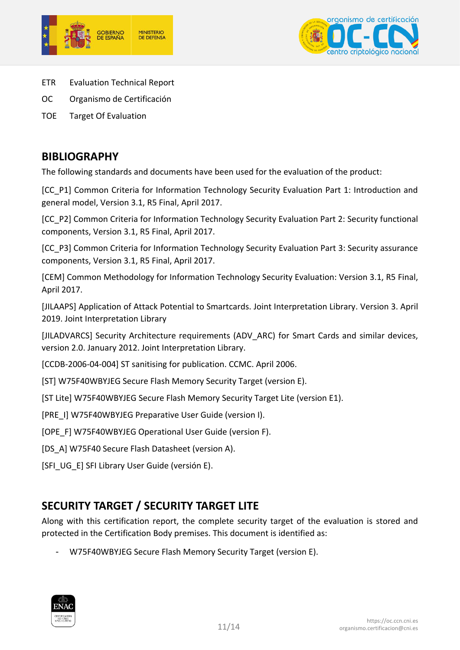



- ETR Evaluation Technical Report
- OC Organismo de Certificación
- TOE Target Of Evaluation

#### <span id="page-10-0"></span>**BIBLIOGRAPHY**

The following standards and documents have been used for the evaluation of the product:

[CC\_P1] Common Criteria for Information Technology Security Evaluation Part 1: Introduction and general model, Version 3.1, R5 Final, April 2017.

[CC\_P2] Common Criteria for Information Technology Security Evaluation Part 2: Security functional components, Version 3.1, R5 Final, April 2017.

[CC\_P3] Common Criteria for Information Technology Security Evaluation Part 3: Security assurance components, Version 3.1, R5 Final, April 2017.

[CEM] Common Methodology for Information Technology Security Evaluation: Version 3.1, R5 Final, April 2017.

[JILAAPS] Application of Attack Potential to Smartcards. Joint Interpretation Library. Version 3. April 2019. Joint Interpretation Library

[JILADVARCS] Security Architecture requirements (ADV\_ARC) for Smart Cards and similar devices, version 2.0. January 2012. Joint Interpretation Library.

[CCDB-2006-04-004] ST sanitising for publication. CCMC. April 2006.

[ST] W75F40WBYJEG Secure Flash Memory Security Target (version E).

[ST Lite] W75F40WBYJEG Secure Flash Memory Security Target Lite (version E1).

[PRE\_I] W75F40WBYJEG Preparative User Guide (version I).

[OPE\_F] W75F40WBYJEG Operational User Guide (version F).

[DS A] W75F40 Secure Flash Datasheet (version A).

[SFI\_UG\_E] SFI Library User Guide (versión E).

# <span id="page-10-1"></span>**SECURITY TARGET / SECURITY TARGET LITE**

Along with this certification report, the complete security target of the evaluation is stored and protected in the Certification Body premises. This document is identified as:

- W75F40WBYJEG Secure Flash Memory Security Target (version E).

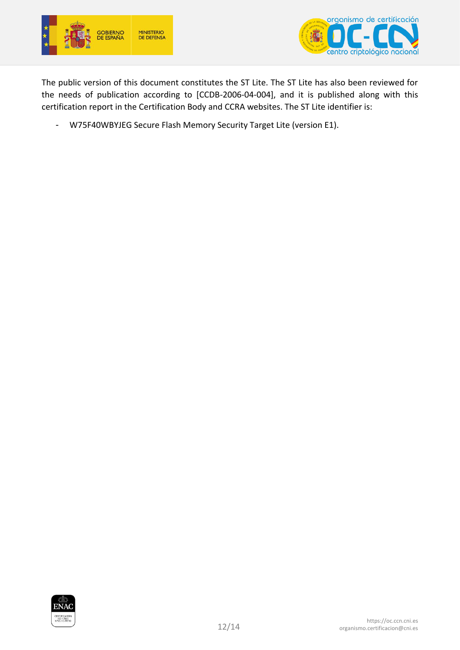



The public version of this document constitutes the ST Lite. The ST Lite has also been reviewed for the needs of publication according to [CCDB-2006-04-004], and it is published along with this certification report in the Certification Body and CCRA websites. The ST Lite identifier is:

- W75F40WBYJEG Secure Flash Memory Security Target Lite (version E1).

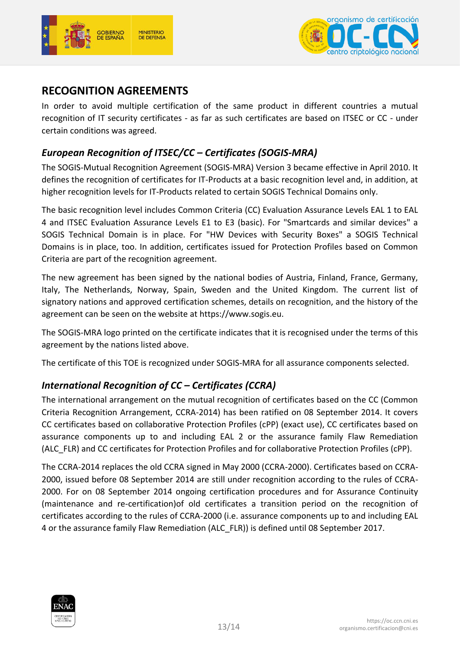



# <span id="page-12-0"></span>**RECOGNITION AGREEMENTS**

In order to avoid multiple certification of the same product in different countries a mutual recognition of IT security certificates - as far as such certificates are based on ITSEC or CC - under certain conditions was agreed.

#### <span id="page-12-1"></span>*European Recognition of ITSEC/CC – Certificates (SOGIS-MRA)*

The SOGIS-Mutual Recognition Agreement (SOGIS-MRA) Version 3 became effective in April 2010. It defines the recognition of certificates for IT-Products at a basic recognition level and, in addition, at higher recognition levels for IT-Products related to certain SOGIS Technical Domains only.

The basic recognition level includes Common Criteria (CC) Evaluation Assurance Levels EAL 1 to EAL 4 and ITSEC Evaluation Assurance Levels E1 to E3 (basic). For "Smartcards and similar devices" a SOGIS Technical Domain is in place. For "HW Devices with Security Boxes" a SOGIS Technical Domains is in place, too. In addition, certificates issued for Protection Profiles based on Common Criteria are part of the recognition agreement.

The new agreement has been signed by the national bodies of Austria, Finland, France, Germany, Italy, The Netherlands, Norway, Spain, Sweden and the United Kingdom. The current list of signatory nations and approved certification schemes, details on recognition, and the history of the agreement can be seen on the website at https://www.sogis.eu.

The SOGIS-MRA logo printed on the certificate indicates that it is recognised under the terms of this agreement by the nations listed above.

The certificate of this TOE is recognized under SOGIS-MRA for all assurance components selected.

## <span id="page-12-2"></span>*International Recognition of CC – Certificates (CCRA)*

The international arrangement on the mutual recognition of certificates based on the CC (Common Criteria Recognition Arrangement, CCRA-2014) has been ratified on 08 September 2014. It covers CC certificates based on collaborative Protection Profiles (cPP) (exact use), CC certificates based on assurance components up to and including EAL 2 or the assurance family Flaw Remediation (ALC\_FLR) and CC certificates for Protection Profiles and for collaborative Protection Profiles (cPP).

The CCRA-2014 replaces the old CCRA signed in May 2000 (CCRA-2000). Certificates based on CCRA-2000, issued before 08 September 2014 are still under recognition according to the rules of CCRA-2000. For on 08 September 2014 ongoing certification procedures and for Assurance Continuity (maintenance and re-certification)of old certificates a transition period on the recognition of certificates according to the rules of CCRA-2000 (i.e. assurance components up to and including EAL 4 or the assurance family Flaw Remediation (ALC\_FLR)) is defined until 08 September 2017.